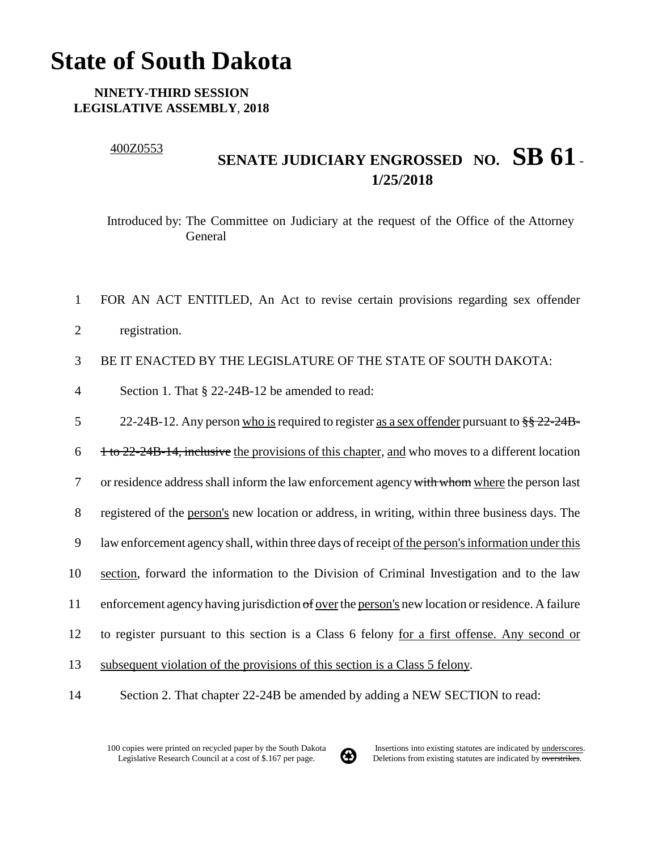## **State of South Dakota**

## **NINETY-THIRD SESSION LEGISLATIVE ASSEMBLY**, **2018**

## 400Z0553

## **SENATE JUDICIARY ENGROSSED NO. SB 61** - **1/25/2018**

Introduced by: The Committee on Judiciary at the request of the Office of the Attorney General

- 1 FOR AN ACT ENTITLED, An Act to revise certain provisions regarding sex offender
- 2 registration.

3 BE IT ENACTED BY THE LEGISLATURE OF THE STATE OF SOUTH DAKOTA:

4 Section 1. That § 22-24B-12 be amended to read:

5 22-24B-12. Any person who is required to register as a sex offender pursuant to  $\frac{8}{5}$   $\frac{22-24B}{5}$ 

 $\frac{1}{10}$  1 to 22-24B-14, inclusive the provisions of this chapter, and who moves to a different location

7 or residence address shall inform the law enforcement agency with whom where the person last

8 registered of the person's new location or address, in writing, within three business days. The

- 9 law enforcement agency shall, within three days of receipt of the person's information under this
- 10 section, forward the information to the Division of Criminal Investigation and to the law
- 11 enforcement agency having jurisdiction of over the person's new location or residence. A failure
- 12 to register pursuant to this section is a Class 6 felony for a first offense. Any second or
- 13 subsequent violation of the provisions of this section is a Class 5 felony.
- 14 Section 2. That chapter 22-24B be amended by adding a NEW SECTION to read:

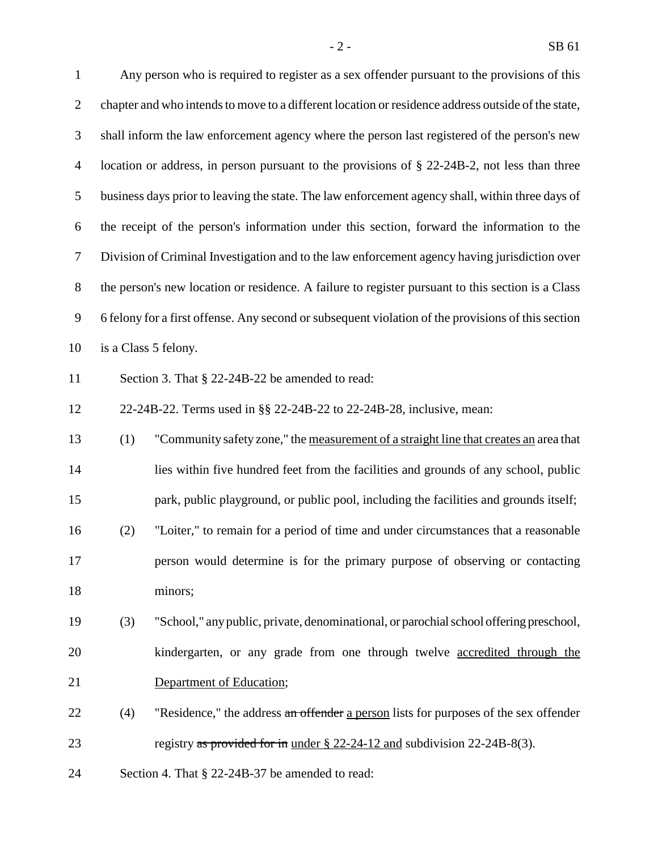Any person who is required to register as a sex offender pursuant to the provisions of this chapter and who intends to move to a different location or residence address outside of the state, shall inform the law enforcement agency where the person last registered of the person's new location or address, in person pursuant to the provisions of § 22-24B-2, not less than three business days prior to leaving the state. The law enforcement agency shall, within three days of the receipt of the person's information under this section, forward the information to the Division of Criminal Investigation and to the law enforcement agency having jurisdiction over the person's new location or residence. A failure to register pursuant to this section is a Class 6 felony for a first offense. Any second or subsequent violation of the provisions of this section is a Class 5 felony. 11 Section 3. That § 22-24B-22 be amended to read: 22-24B-22. Terms used in §§ 22-24B-22 to 22-24B-28, inclusive, mean: (1) "Community safety zone," the measurement of a straight line that creates an area that lies within five hundred feet from the facilities and grounds of any school, public park, public playground, or public pool, including the facilities and grounds itself; (2) "Loiter," to remain for a period of time and under circumstances that a reasonable person would determine is for the primary purpose of observing or contacting minors; (3) "School," any public, private, denominational, or parochial school offering preschool, kindergarten, or any grade from one through twelve accredited through the Department of Education; 22 (4) "Residence," the address an offender a person lists for purposes of the sex offender 23 registry as provided for in under § 22-24-12 and subdivision 22-24B-8(3).

Section 4. That § 22-24B-37 be amended to read: